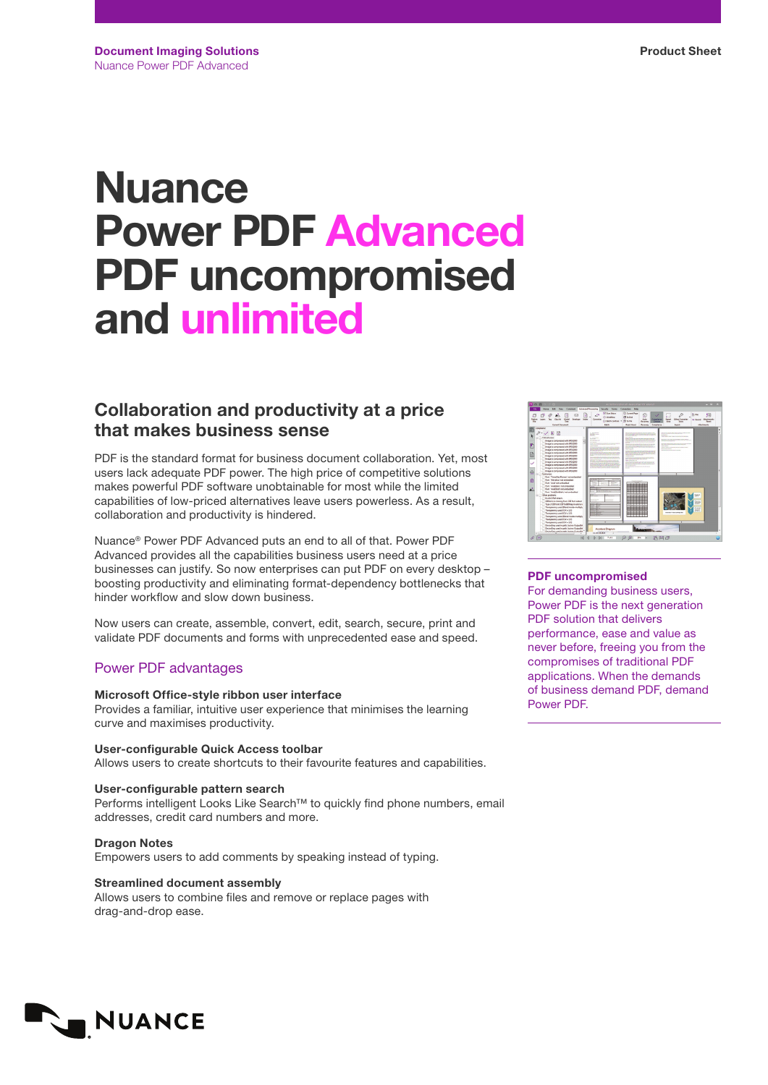# **Nuance** Power PDF Advanced PDF uncompromised and unlimited

## Collaboration and productivity at a price that makes business sense

PDF is the standard format for business document collaboration. Yet, most users lack adequate PDF power. The high price of competitive solutions makes powerful PDF software unobtainable for most while the limited capabilities of low-priced alternatives leave users powerless. As a result, collaboration and productivity is hindered.

Nuance® Power PDF Advanced puts an end to all of that. Power PDF Advanced provides all the capabilities business users need at a price businesses can justify. So now enterprises can put PDF on every desktop – boosting productivity and eliminating format-dependency bottlenecks that hinder workflow and slow down business.

Now users can create, assemble, convert, edit, search, secure, print and validate PDF documents and forms with unprecedented ease and speed.

## Power PDF advantages

## Microsoft Office-style ribbon user interface

Provides a familiar, intuitive user experience that minimises the learning curve and maximises productivity.

User-configurable Quick Access toolbar Allows users to create shortcuts to their favourite features and capabilities.

## User-configurable pattern search Performs intelligent Looks Like Search™ to quickly find phone numbers, email addresses, credit card numbers and more.

Dragon Notes Empowers users to add comments by speaking instead of typing.

Streamlined document assembly Allows users to combine files and remove or replace pages with drag-and-drop ease.



## PDF uncompromised

For demanding business users, Power PDF is the next generation PDF solution that delivers performance, ease and value as never before, freeing you from the compromises of traditional PDF applications. When the demands of business demand PDF, demand Power PDF.